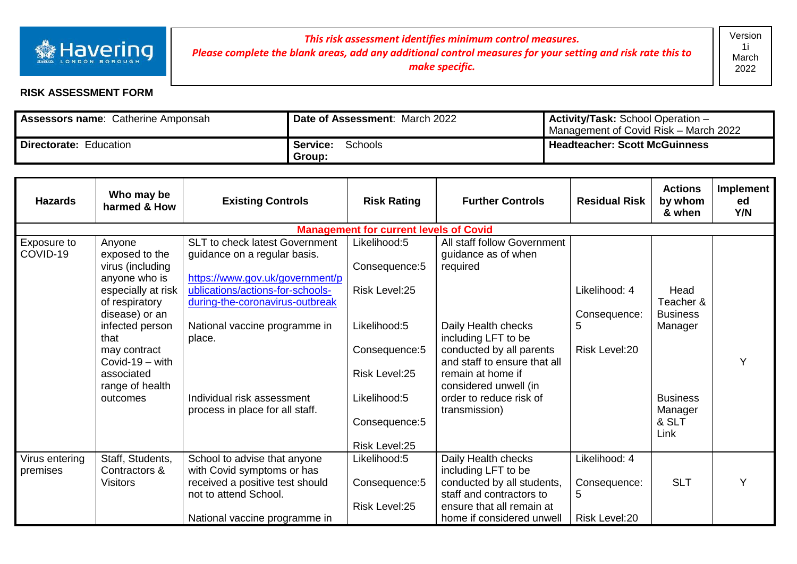

## *This risk assessment identifies minimum control measures. Please complete the blank areas, add any additional control measures for your setting and risk rate this to make specific.*

## **RISK ASSESSMENT FORM**

| <b>Assessors name: Catherine Amponsah</b> | <b>Date of Assessment: March 2022</b> | <b>Activity/Task:</b> School Operation -<br>Management of Covid Risk - March 2022 |
|-------------------------------------------|---------------------------------------|-----------------------------------------------------------------------------------|
| Directorate: Education                    | Schools<br><b>Service:</b><br>Group:  | <b>Headteacher: Scott McGuinness</b>                                              |

| <b>Hazards</b>          | Who may be<br>harmed & How                                              | <b>Existing Controls</b>                                                                               | <b>Risk Rating</b>                            | <b>Further Controls</b>                                                       | <b>Residual Risk</b>          | <b>Actions</b><br>by whom<br>& when  | Implement<br>ed<br>Y/N |
|-------------------------|-------------------------------------------------------------------------|--------------------------------------------------------------------------------------------------------|-----------------------------------------------|-------------------------------------------------------------------------------|-------------------------------|--------------------------------------|------------------------|
|                         |                                                                         |                                                                                                        | <b>Management for current levels of Covid</b> |                                                                               |                               |                                      |                        |
| Exposure to<br>COVID-19 | Anyone<br>exposed to the<br>virus (including                            | SLT to check latest Government<br>guidance on a regular basis.                                         | Likelihood:5<br>Consequence: 5                | All staff follow Government<br>guidance as of when<br>required                |                               |                                      |                        |
|                         | anyone who is<br>especially at risk<br>of respiratory<br>disease) or an | https://www.gov.uk/government/p<br>ublications/actions-for-schools-<br>during-the-coronavirus-outbreak | Risk Level: 25                                |                                                                               | Likelihood: 4<br>Consequence: | Head<br>Teacher &<br><b>Business</b> |                        |
|                         | infected person<br>that                                                 | National vaccine programme in<br>place.                                                                | Likelihood:5                                  | Daily Health checks<br>including LFT to be                                    | 5                             | Manager                              |                        |
|                         | may contract<br>Covid-19 $-$ with<br>associated                         |                                                                                                        | Consequence: 5<br>Risk Level:25               | conducted by all parents<br>and staff to ensure that all<br>remain at home if | Risk Level: 20                |                                      | Y                      |
|                         | range of health                                                         |                                                                                                        |                                               | considered unwell (in                                                         |                               |                                      |                        |
|                         | outcomes                                                                | Individual risk assessment<br>process in place for all staff.                                          | Likelihood:5                                  | order to reduce risk of<br>transmission)                                      |                               | <b>Business</b><br>Manager           |                        |
|                         |                                                                         |                                                                                                        | Consequence: 5<br>Risk Level:25               |                                                                               |                               | & SLT<br>Link                        |                        |
| Virus entering          | Staff, Students,                                                        | School to advise that anyone                                                                           | Likelihood:5                                  | Daily Health checks                                                           | Likelihood: 4                 |                                      |                        |
| premises                | Contractors &                                                           | with Covid symptoms or has                                                                             |                                               | including LFT to be                                                           |                               |                                      |                        |
|                         | <b>Visitors</b>                                                         | received a positive test should<br>not to attend School.                                               | Consequence: 5                                | conducted by all students,<br>staff and contractors to                        | Consequence:<br>5             | <b>SLT</b>                           | Υ                      |
|                         |                                                                         | National vaccine programme in                                                                          | Risk Level:25                                 | ensure that all remain at<br>home if considered unwell                        | Risk Level:20                 |                                      |                        |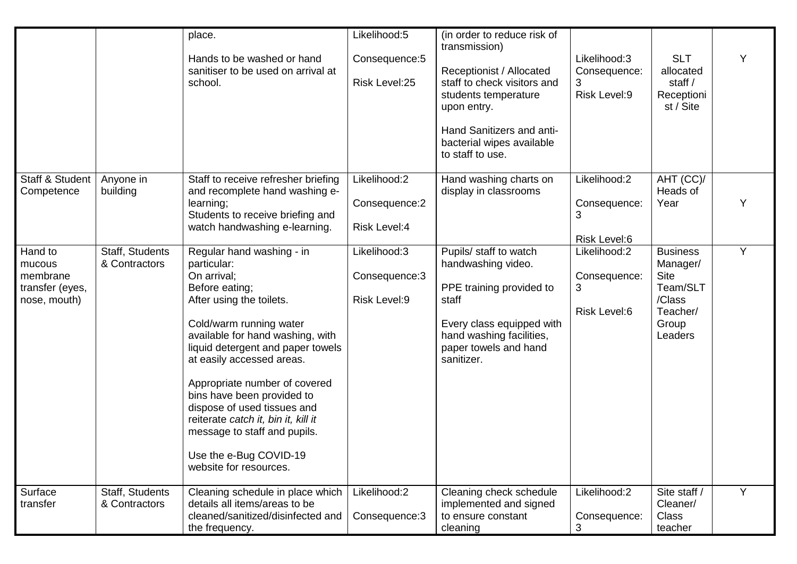|                                                                  |                                  | place.<br>Hands to be washed or hand<br>sanitiser to be used on arrival at<br>school.                                                                                                                                                                                                                                                                                                                                                                           | Likelihood:5<br>Consequence: 5<br>Risk Level:25 | (in order to reduce risk of<br>transmission)<br>Receptionist / Allocated<br>staff to check visitors and<br>students temperature<br>upon entry.<br>Hand Sanitizers and anti-<br>bacterial wipes available<br>to staff to use. | Likelihood:3<br>Consequence:<br>3<br>Risk Level:9 | <b>SLT</b><br>allocated<br>staff /<br>Receptioni<br>st / Site                                    |   |
|------------------------------------------------------------------|----------------------------------|-----------------------------------------------------------------------------------------------------------------------------------------------------------------------------------------------------------------------------------------------------------------------------------------------------------------------------------------------------------------------------------------------------------------------------------------------------------------|-------------------------------------------------|------------------------------------------------------------------------------------------------------------------------------------------------------------------------------------------------------------------------------|---------------------------------------------------|--------------------------------------------------------------------------------------------------|---|
| Staff & Student<br>Competence                                    | Anyone in<br>building            | Staff to receive refresher briefing<br>and recomplete hand washing e-<br>learning;<br>Students to receive briefing and<br>watch handwashing e-learning.                                                                                                                                                                                                                                                                                                         | Likelihood:2<br>Consequence:2<br>Risk Level:4   | Hand washing charts on<br>display in classrooms                                                                                                                                                                              | Likelihood:2<br>Consequence:<br>3<br>Risk Level:6 | AHT (CC)/<br>Heads of<br>Year                                                                    |   |
| Hand to<br>mucous<br>membrane<br>transfer (eyes,<br>nose, mouth) | Staff, Students<br>& Contractors | Regular hand washing - in<br>particular:<br>On arrival;<br>Before eating;<br>After using the toilets.<br>Cold/warm running water<br>available for hand washing, with<br>liquid detergent and paper towels<br>at easily accessed areas.<br>Appropriate number of covered<br>bins have been provided to<br>dispose of used tissues and<br>reiterate catch it, bin it, kill it<br>message to staff and pupils.<br>Use the e-Bug COVID-19<br>website for resources. | Likelihood:3<br>Consequence: 3<br>Risk Level:9  | Pupils/ staff to watch<br>handwashing video.<br>PPE training provided to<br>staff<br>Every class equipped with<br>hand washing facilities,<br>paper towels and hand<br>sanitizer.                                            | Likelihood:2<br>Consequence:<br>3<br>Risk Level:6 | <b>Business</b><br>Manager/<br><b>Site</b><br>Team/SLT<br>/Class<br>Teacher/<br>Group<br>Leaders | Y |
| Surface<br>transfer                                              | Staff, Students<br>& Contractors | Cleaning schedule in place which<br>details all items/areas to be<br>cleaned/sanitized/disinfected and<br>the frequency.                                                                                                                                                                                                                                                                                                                                        | Likelihood:2<br>Consequence: 3                  | Cleaning check schedule<br>implemented and signed<br>to ensure constant<br>cleaning                                                                                                                                          | Likelihood:2<br>Consequence:<br>3                 | Site staff /<br>Cleaner/<br><b>Class</b><br>teacher                                              | Y |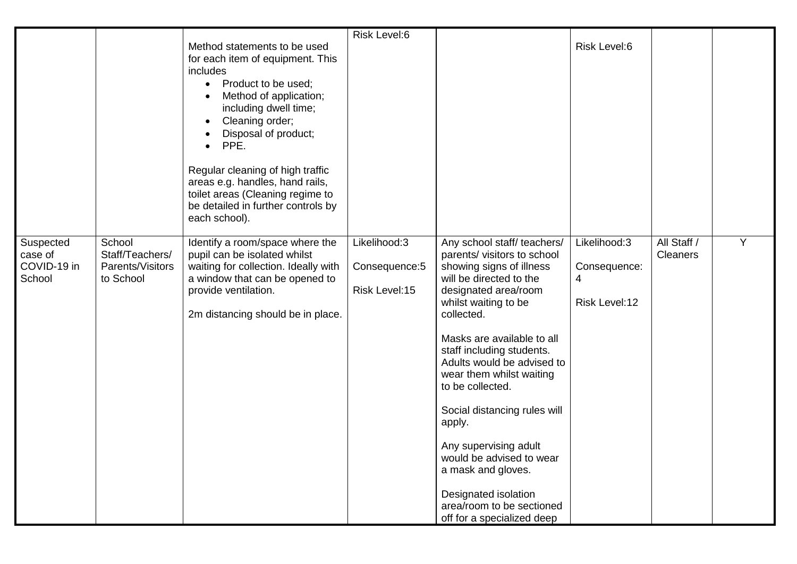|                                               |                                                            |                                                                                                                                                                                                                                                                                                                                                                                               | Risk Level:6                                     |                                                                                                                                                                                                                                                                                                                                                                                                                                                                                                                                 |                                                    |                                |   |
|-----------------------------------------------|------------------------------------------------------------|-----------------------------------------------------------------------------------------------------------------------------------------------------------------------------------------------------------------------------------------------------------------------------------------------------------------------------------------------------------------------------------------------|--------------------------------------------------|---------------------------------------------------------------------------------------------------------------------------------------------------------------------------------------------------------------------------------------------------------------------------------------------------------------------------------------------------------------------------------------------------------------------------------------------------------------------------------------------------------------------------------|----------------------------------------------------|--------------------------------|---|
|                                               |                                                            | Method statements to be used<br>for each item of equipment. This<br>includes<br>Product to be used;<br>$\bullet$<br>Method of application;<br>including dwell time;<br>Cleaning order;<br>٠<br>Disposal of product;<br>PPE.<br>Regular cleaning of high traffic<br>areas e.g. handles, hand rails,<br>toilet areas (Cleaning regime to<br>be detailed in further controls by<br>each school). |                                                  |                                                                                                                                                                                                                                                                                                                                                                                                                                                                                                                                 | Risk Level:6                                       |                                |   |
| Suspected<br>case of<br>COVID-19 in<br>School | School<br>Staff/Teachers/<br>Parents/Visitors<br>to School | Identify a room/space where the<br>pupil can be isolated whilst<br>waiting for collection. Ideally with<br>a window that can be opened to<br>provide ventilation.<br>2m distancing should be in place.                                                                                                                                                                                        | Likelihood:3<br>Consequence: 5<br>Risk Level: 15 | Any school staff/teachers/<br>parents/ visitors to school<br>showing signs of illness<br>will be directed to the<br>designated area/room<br>whilst waiting to be<br>collected.<br>Masks are available to all<br>staff including students.<br>Adults would be advised to<br>wear them whilst waiting<br>to be collected.<br>Social distancing rules will<br>apply.<br>Any supervising adult<br>would be advised to wear<br>a mask and gloves.<br>Designated isolation<br>area/room to be sectioned<br>off for a specialized deep | Likelihood:3<br>Consequence:<br>4<br>Risk Level:12 | All Staff /<br><b>Cleaners</b> | Y |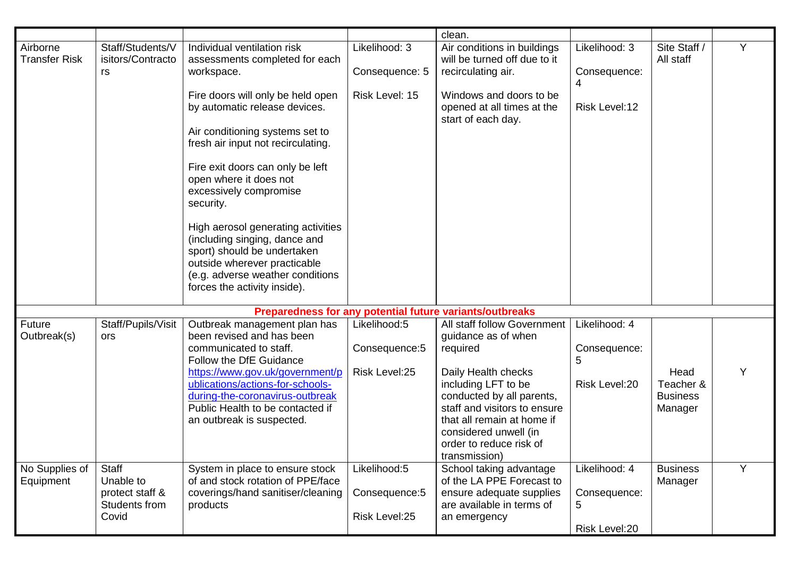|                                  |                                                                        |                                                                                                                                                                                                                                     |                                                 | clean.                                                                                                                                                                                                     |                                                     |                                                 |   |
|----------------------------------|------------------------------------------------------------------------|-------------------------------------------------------------------------------------------------------------------------------------------------------------------------------------------------------------------------------------|-------------------------------------------------|------------------------------------------------------------------------------------------------------------------------------------------------------------------------------------------------------------|-----------------------------------------------------|-------------------------------------------------|---|
| Airborne<br><b>Transfer Risk</b> | Staff/Students/V<br>isitors/Contracto<br>rs                            | Individual ventilation risk<br>assessments completed for each<br>workspace.                                                                                                                                                         | Likelihood: 3<br>Consequence: 5                 | Air conditions in buildings<br>will be turned off due to it<br>recirculating air.                                                                                                                          | Likelihood: 3<br>Consequence:                       | Site Staff /<br>All staff                       | Y |
|                                  |                                                                        | Fire doors will only be held open<br>by automatic release devices.<br>Air conditioning systems set to<br>fresh air input not recirculating.<br>Fire exit doors can only be left<br>open where it does not<br>excessively compromise | Risk Level: 15                                  | Windows and doors to be<br>opened at all times at the<br>start of each day.                                                                                                                                | 4<br>Risk Level:12                                  |                                                 |   |
|                                  |                                                                        | security.<br>High aerosol generating activities<br>(including singing, dance and<br>sport) should be undertaken<br>outside wherever practicable<br>(e.g. adverse weather conditions<br>forces the activity inside).                 |                                                 |                                                                                                                                                                                                            |                                                     |                                                 |   |
|                                  |                                                                        |                                                                                                                                                                                                                                     |                                                 | Preparedness for any potential future variants/outbreaks                                                                                                                                                   |                                                     |                                                 |   |
| Future<br>Outbreak(s)            | Staff/Pupils/Visit<br><b>ors</b>                                       | Outbreak management plan has<br>been revised and has been<br>communicated to staff.<br>Follow the DfE Guidance                                                                                                                      | Likelihood:5<br>Consequence: 5                  | <b>All staff follow Government</b><br>guidance as of when<br>required                                                                                                                                      | Likelihood: 4<br>Consequence:<br>5                  |                                                 |   |
|                                  |                                                                        | https://www.gov.uk/government/p<br>ublications/actions-for-schools-<br>during-the-coronavirus-outbreak<br>Public Health to be contacted if<br>an outbreak is suspected.                                                             | Risk Level:25                                   | Daily Health checks<br>including LFT to be<br>conducted by all parents,<br>staff and visitors to ensure<br>that all remain at home if<br>considered unwell (in<br>order to reduce risk of<br>transmission) | Risk Level:20                                       | Head<br>Teacher &<br><b>Business</b><br>Manager |   |
| No Supplies of<br>Equipment      | <b>Staff</b><br>Unable to<br>protect staff &<br>Students from<br>Covid | System in place to ensure stock<br>of and stock rotation of PPE/face<br>coverings/hand sanitiser/cleaning<br>products                                                                                                               | Likelihood:5<br>Consequence: 5<br>Risk Level:25 | School taking advantage<br>of the LA PPE Forecast to<br>ensure adequate supplies<br>are available in terms of<br>an emergency                                                                              | Likelihood: 4<br>Consequence:<br>5<br>Risk Level:20 | <b>Business</b><br>Manager                      | Y |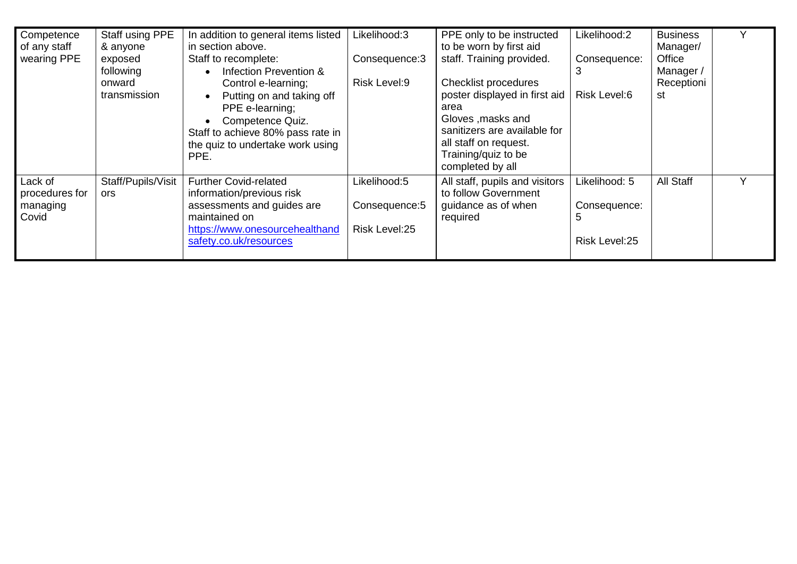| Competence<br>of any staff<br>wearing PPE      | Staff using PPE<br>& anyone<br>exposed<br>following<br>onward<br>transmission | In addition to general items listed<br>in section above.<br>Staff to recomplete:<br>Infection Prevention &<br>Control e-learning;<br>Putting on and taking off<br>PPE e-learning;<br>Competence Quiz.<br>Staff to achieve 80% pass rate in<br>the quiz to undertake work using<br>PPE. | Likelihood:3<br>Consequence: 3<br>Risk Level:9   | PPE only to be instructed<br>to be worn by first aid<br>staff. Training provided.<br><b>Checklist procedures</b><br>poster displayed in first aid<br>area<br>Gloves , masks and<br>sanitizers are available for<br>all staff on request.<br>Training/quiz to be<br>completed by all | Likelihood:2<br>Consequence:<br>3<br>Risk Level:6   | <b>Business</b><br>Manager/<br>Office<br>Manager /<br>Receptioni<br>st | v            |
|------------------------------------------------|-------------------------------------------------------------------------------|----------------------------------------------------------------------------------------------------------------------------------------------------------------------------------------------------------------------------------------------------------------------------------------|--------------------------------------------------|-------------------------------------------------------------------------------------------------------------------------------------------------------------------------------------------------------------------------------------------------------------------------------------|-----------------------------------------------------|------------------------------------------------------------------------|--------------|
| Lack of<br>procedures for<br>managing<br>Covid | Staff/Pupils/Visit<br><b>ors</b>                                              | <b>Further Covid-related</b><br>information/previous risk<br>assessments and guides are<br>maintained on<br>https://www.onesourcehealthand<br>safety.co.uk/resources                                                                                                                   | Likelihood:5<br>Consequence: 5<br>Risk Level: 25 | All staff, pupils and visitors<br>to follow Government<br>guidance as of when<br>required                                                                                                                                                                                           | Likelihood: 5<br>Consequence:<br>5<br>Risk Level:25 | All Staff                                                              | $\checkmark$ |